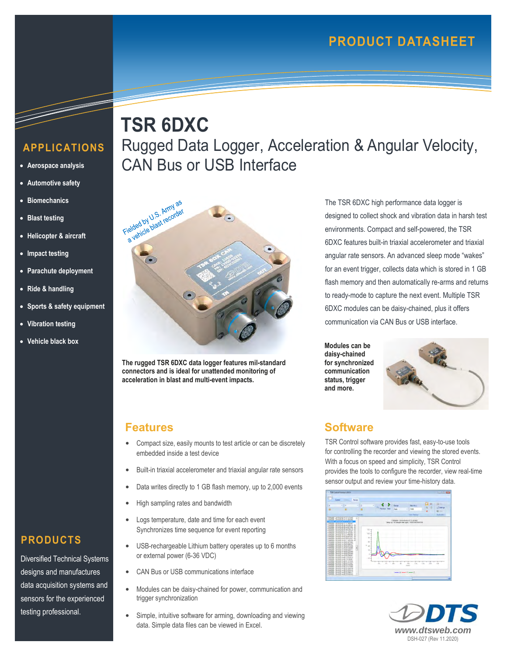# **APPLICATIONS**

- **Aerospace analysis**
- **Automotive safety**
- **Biomechanics**
- **Blast testing**
- **Helicopter & aircraft**
- **Impact testing**
- **Parachute deployment**
- **Ride & handling**
- **Sports & safety equipment**
- **Vibration testing**
- **Vehicle black box**





**The rugged TSR 6DXC data logger features mil-standard connectors and is ideal for unattended monitoring of acceleration in blast and multi-event impacts.** 

#### **Features**

- Compact size, easily mounts to test article or can be discretely embedded inside a test device
- Built-in triaxial accelerometer and triaxial angular rate sensors
- Data writes directly to 1 GB flash memory, up to 2,000 events
- High sampling rates and bandwidth
- Logs temperature, date and time for each event Synchronizes time sequence for event reporting
- USB-rechargeable Lithium battery operates up to 6 months or external power (6-36 VDC)
- CAN Bus or USB communications interface
- Modules can be daisy-chained for power, communication and trigger synchronization
- Simple, intuitive software for arming, downloading and viewing data. Simple data files can be viewed in Excel.

The TSR 6DXC high performance data logger is designed to collect shock and vibration data in harsh test environments. Compact and self-powered, the TSR 6DXC features built-in triaxial accelerometer and triaxial angular rate sensors. An advanced sleep mode "wakes" for an event trigger, collects data which is stored in 1 GB flash memory and then automatically re-arms and returns to ready-mode to capture the next event. Multiple TSR 6DXC modules can be daisy-chained, plus it offers communication via CAN Bus or USB interface.

**Modules can be daisy-chained for synchronized communication status, trigger and more.**



#### **Software**

TSR Control software provides fast, easy-to-use tools for controlling the recorder and viewing the stored events. With a focus on speed and simplicity, TSR Control provides the tools to configure the recorder, view real-time sensor output and review your time-history data.





# **PRODUCTS**

Diversified Technical Systems designs and manufactures data acquisition systems and sensors for the experienced testing professional.